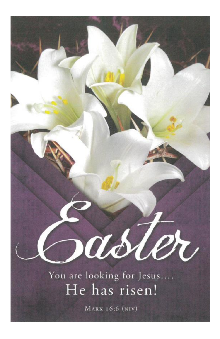You are looking for Jesus.... He has risen!

asler

**MARK 16:6 (NIV)**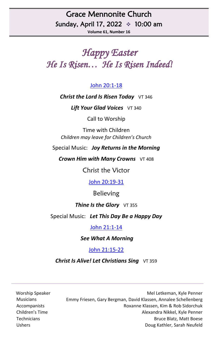# Grace Mennonite Church Sunday, April 17, 2022 ❖ 10:00 am

**Volume 61, Number 16**

# *Happy Easter He Is Risen… He Is Risen Indeed!*

#### [John 20:1-18](https://www.biblegateway.com/passage/?search=John+20%3A1-18&version=NRSV)

#### **Christ the Lord Is Risen Today** VT 346

**Lift Your Glad Voices** VT 340

Call to Worship

Time with Children *Children may leave for Children's Church*

Special Music: *Joy Returns in the Morning*

*Crown Him with Many Crowns*  $VT 408$ 

Christ the Victor

John [20:19-31](https://www.biblegateway.com/passage/?search=John+20%3A19-31&version=NRSV)

Believing

#### **Thine Is the Glory** VT 355

Special Music: *Let This Day Be a Happy Day*

#### John [21:1-14](https://www.biblegateway.com/passage/?search=John+21%3A1-14&version=NRSV)

*See What A Morning*

[John 21:15-22](https://www.biblegateway.com/passage/?search=John+21%3A15-22&version=NRSV)

**Christ Is Alive! Let Christians Sing** VT 359

Worship Speaker Mel Letkeman, Kyle Penner Musicians Emmy Friesen, Gary Bergman, David Klassen, Annalee Schellenberg Accompanists Roxanne Klassen, Kim & Rob Sidorchuk Children's Time Alexandra Nikkel, Kyle Penner Technicians Bruce Blatz, Matt Boese Ushers Doug Kathler, Sarah Neufeld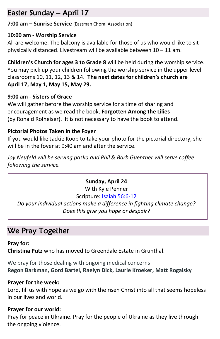# Easter Sunday – April 17

**7:00 am – Sunrise Service** (Eastman Choral Association)

#### **10:00 am - Worship Service**

All are welcome. The balcony is available for those of us who would like to sit physically distanced. Livestream will be available between 10 – 11 am.

**Children's Church for ages 3 to Grade 8** will be held during the worship service. You may pick up your children following the worship service in the upper level classrooms 10, 11, 12, 13 & 14. **The next dates for children's church are April 17, May 1, May 15, May 29.**

### **9:00 am - Sisters of Grace**

We will gather before the worship service for a time of sharing and encouragement as we read the book, **Forgotten Among the Lilies**  (by Ronald Rolheiser). It is not necessary to have the book to attend.

# **Pictorial Photos Taken in the Foyer**

If you would like Jackie Koop to take your photo for the pictorial directory, she will be in the foyer at 9:40 am and after the service.

*Joy Neufeld will be serving paska and Phil & Barb Guenther will serve coffee following the service.*

### **Sunday, April 24**

With Kyle Penner Scripture: [Isaiah 56:6-12](https://www.biblegateway.com/passage/?search=Isaiah+56%3A6-12&version=NRSV) 

*Do your individual actions make a difference in fighting climate change? Does this give you hope or despair?*

# We Pray Together

**Pray for: Christina Putz** who has moved to Greendale Estate in Grunthal.

We pray for those dealing with ongoing medical concerns: **Regon Barkman, Gord Bartel, Raelyn Dick, Laurie Kroeker, Matt Rogalsky**

### **Prayer for the week:**

Lord, fill us with hope as we go with the risen Christ into all that seems hopeless in our lives and world.

### **Prayer for our world:**

Pray for peace in Ukraine. Pray for the people of Ukraine as they live through the ongoing violence.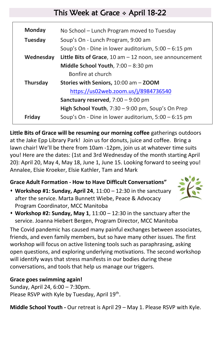# This Week at Grace ❖ April 18-22

| <b>Monday</b>  | No School – Lunch Program moved to Tuesday                |
|----------------|-----------------------------------------------------------|
| <b>Tuesday</b> | Soup's On - Lunch Program, 9:00 am                        |
|                | Soup's On - Dine in lower auditorium, 5:00 - 6:15 pm      |
| Wednesday      | Little Bits of Grace, 10 am $-$ 12 noon, see announcement |
|                | Middle School Youth, 7:00 - 8:30 pm                       |
|                | Bonfire at church                                         |
| Thursday       | Stories with Seniors, 10:00 am - ZOOM                     |
|                | https://us02web.zoom.us/j/8984736540                      |
|                | Sanctuary reserved, $7:00 - 9:00$ pm                      |
|                | High School Youth, 7:30 - 9:00 pm, Soup's On Prep         |
| Fridav         | Soup's On - Dine in lower auditorium, $5:00 - 6:15$ pm    |
|                |                                                           |

**Little Bits of Grace will be resuming our morning coffee** gatherings outdoors at the Jake Epp Library Park! Join us for donuts, juice and coffee. Bring a lawn chair! We'll be there from 10am -12pm, join us at whatever time suits you! Here are the dates: (1st and 3rd Wednesday of the month starting April 20): April 20, May 4, May 18, June 1, June 15. Looking forward to seeing you! Annalee, Elsie Kroeker, Elsie Kathler, Tam and Mark

### **Grace Adult Formation - How to Have Difficult Conversations"**

⬧ **Workshop #1: Sunday, April 24**, 11:00 – 12:30 in the sanctuary after the service. Marta Bunnett Wiebe, Peace & Advocacy Program Coordinator, MCC Manitoba



⬧ **Workshop #2: Sunday, May 1**, 11:00 – 12:30 in the sanctuary after the service. Joanna Hiebert Bergen, Program Director, MCC Manitoba

The Covid pandemic has caused many painful exchanges between associates, friends, and even family members, but so have many other issues. The first workshop will focus on active listening tools such as paraphrasing, asking open questions, and exploring underlying motivations. The second workshop will identify ways that stress manifests in our bodies during these conversations, and tools that help us manage our triggers.

### **Grace goes swimming again!**

Sunday, April 24, 6:00 – 7:30pm. Please RSVP with Kyle by Tuesday, April 19<sup>th</sup>.

**Middle School Youth -** Our retreat is April 29 – May 1. Please RSVP with Kyle.